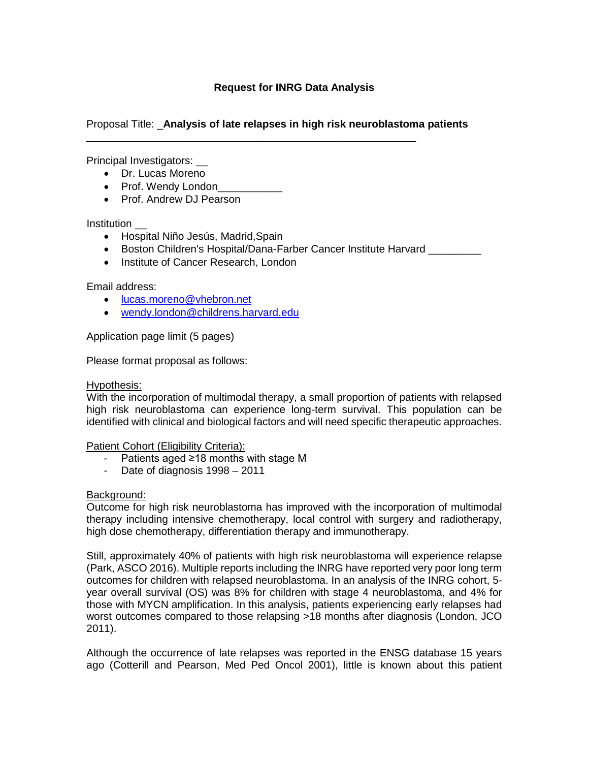# Proposal Title: \_**Analysis of late relapses in high risk neuroblastoma patients**

\_\_\_\_\_\_\_\_\_\_\_\_\_\_\_\_\_\_\_\_\_\_\_\_\_\_\_\_\_\_\_\_\_\_\_\_\_\_\_\_\_\_\_\_\_\_\_\_\_\_\_\_\_\_\_\_

Principal Investigators: \_\_

- Dr. Lucas Moreno
- Prof. Wendy London
- Prof. Andrew DJ Pearson

**Institution** 

- Hospital Niño Jesús, Madrid,Spain
- Boston Children's Hospital/Dana-Farber Cancer Institute Harvard \_\_\_\_\_\_\_\_\_\_\_\_\_
- Institute of Cancer Research, London

Email address:

- [lucas.moreno@vhebron.net](mailto:lucas.moreno@vhebron.net)
- [wendy.london@childrens.harvard.edu](mailto:wendy.london@childrens.harvard.edu)

Application page limit (5 pages)

Please format proposal as follows:

### Hypothesis:

With the incorporation of multimodal therapy, a small proportion of patients with relapsed high risk neuroblastoma can experience long-term survival. This population can be identified with clinical and biological factors and will need specific therapeutic approaches.

Patient Cohort (Eligibility Criteria):

- Patients aged ≥18 months with stage M
- Date of diagnosis 1998 2011

### Background:

Outcome for high risk neuroblastoma has improved with the incorporation of multimodal therapy including intensive chemotherapy, local control with surgery and radiotherapy, high dose chemotherapy, differentiation therapy and immunotherapy.

Still, approximately 40% of patients with high risk neuroblastoma will experience relapse (Park, ASCO 2016). Multiple reports including the INRG have reported very poor long term outcomes for children with relapsed neuroblastoma. In an analysis of the INRG cohort, 5 year overall survival (OS) was 8% for children with stage 4 neuroblastoma, and 4% for those with MYCN amplification. In this analysis, patients experiencing early relapses had worst outcomes compared to those relapsing >18 months after diagnosis (London, JCO 2011).

Although the occurrence of late relapses was reported in the ENSG database 15 years ago (Cotterill and Pearson, Med Ped Oncol 2001), little is known about this patient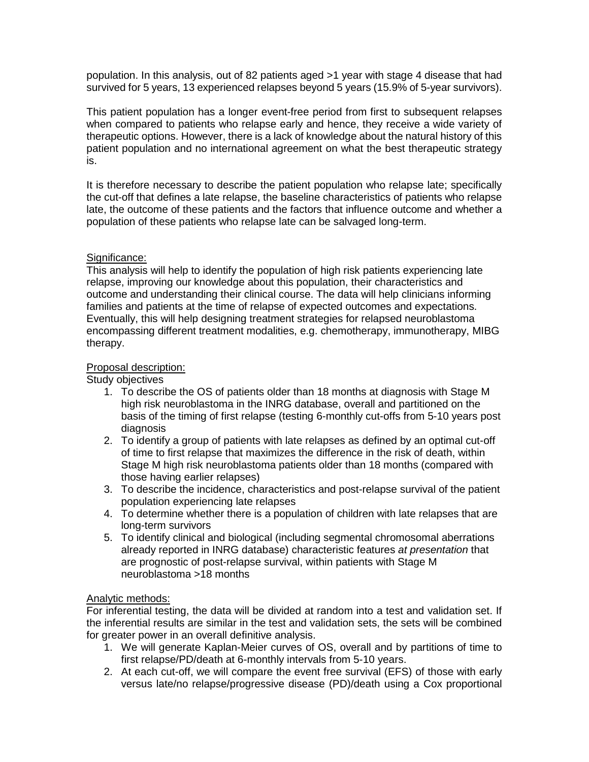population. In this analysis, out of 82 patients aged >1 year with stage 4 disease that had survived for 5 years, 13 experienced relapses beyond 5 years (15.9% of 5-year survivors).

This patient population has a longer event-free period from first to subsequent relapses when compared to patients who relapse early and hence, they receive a wide variety of therapeutic options. However, there is a lack of knowledge about the natural history of this patient population and no international agreement on what the best therapeutic strategy is.

It is therefore necessary to describe the patient population who relapse late; specifically the cut-off that defines a late relapse, the baseline characteristics of patients who relapse late, the outcome of these patients and the factors that influence outcome and whether a population of these patients who relapse late can be salvaged long-term.

# Significance:

This analysis will help to identify the population of high risk patients experiencing late relapse, improving our knowledge about this population, their characteristics and outcome and understanding their clinical course. The data will help clinicians informing families and patients at the time of relapse of expected outcomes and expectations. Eventually, this will help designing treatment strategies for relapsed neuroblastoma encompassing different treatment modalities, e.g. chemotherapy, immunotherapy, MIBG therapy.

# Proposal description:

## Study objectives

- 1. To describe the OS of patients older than 18 months at diagnosis with Stage M high risk neuroblastoma in the INRG database, overall and partitioned on the basis of the timing of first relapse (testing 6-monthly cut-offs from 5-10 years post diagnosis
- 2. To identify a group of patients with late relapses as defined by an optimal cut-off of time to first relapse that maximizes the difference in the risk of death, within Stage M high risk neuroblastoma patients older than 18 months (compared with those having earlier relapses)
- 3. To describe the incidence, characteristics and post-relapse survival of the patient population experiencing late relapses
- 4. To determine whether there is a population of children with late relapses that are long-term survivors
- 5. To identify clinical and biological (including segmental chromosomal aberrations already reported in INRG database) characteristic features *at presentation* that are prognostic of post-relapse survival, within patients with Stage M neuroblastoma >18 months

# Analytic methods:

For inferential testing, the data will be divided at random into a test and validation set. If the inferential results are similar in the test and validation sets, the sets will be combined for greater power in an overall definitive analysis.

- 1. We will generate Kaplan-Meier curves of OS, overall and by partitions of time to first relapse/PD/death at 6-monthly intervals from 5-10 years.
- 2. At each cut-off, we will compare the event free survival (EFS) of those with early versus late/no relapse/progressive disease (PD)/death using a Cox proportional